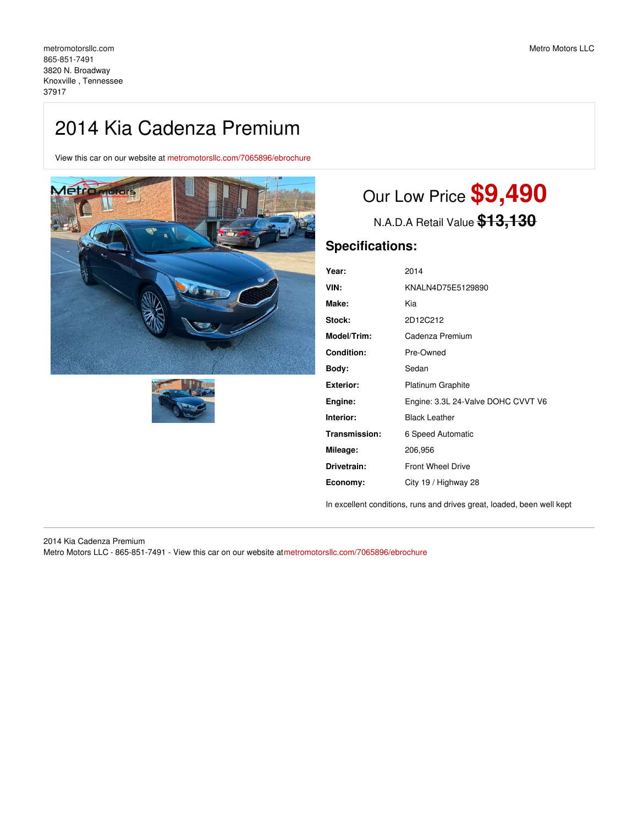## 2014 Kia Cadenza Premium

View this car on our website at [metromotorsllc.com/7065896/ebrochure](https://metromotorsllc.com/vehicle/7065896/2014-kia-cadenza-premium-knoxville-tennessee-37917/7065896/ebrochure)





# Our Low Price **\$9,490**

N.A.D.A Retail Value **\$13,130**

## **Specifications:**

| Year:             | 2014                               |
|-------------------|------------------------------------|
| VIN:              | KNALN4D75E5129890                  |
| Make:             | Kia                                |
| Stock:            | 2D12C212                           |
| Model/Trim:       | Cadenza Premium                    |
| <b>Condition:</b> | Pre-Owned                          |
| Body:             | Sedan                              |
| <b>Exterior:</b>  | <b>Platinum Graphite</b>           |
| Engine:           | Engine: 3.3L 24-Valve DOHC CVVT V6 |
| Interior:         | <b>Black Leather</b>               |
| Transmission:     | 6 Speed Automatic                  |
| Mileage:          | 206,956                            |
| Drivetrain:       | <b>Front Wheel Drive</b>           |
| Economy:          | City 19 / Highway 28               |

In excellent conditions, runs and drives great, loaded, been well kept

2014 Kia Cadenza Premium Metro Motors LLC - 865-851-7491 - View this car on our website at[metromotorsllc.com/7065896/ebrochure](https://metromotorsllc.com/vehicle/7065896/2014-kia-cadenza-premium-knoxville-tennessee-37917/7065896/ebrochure)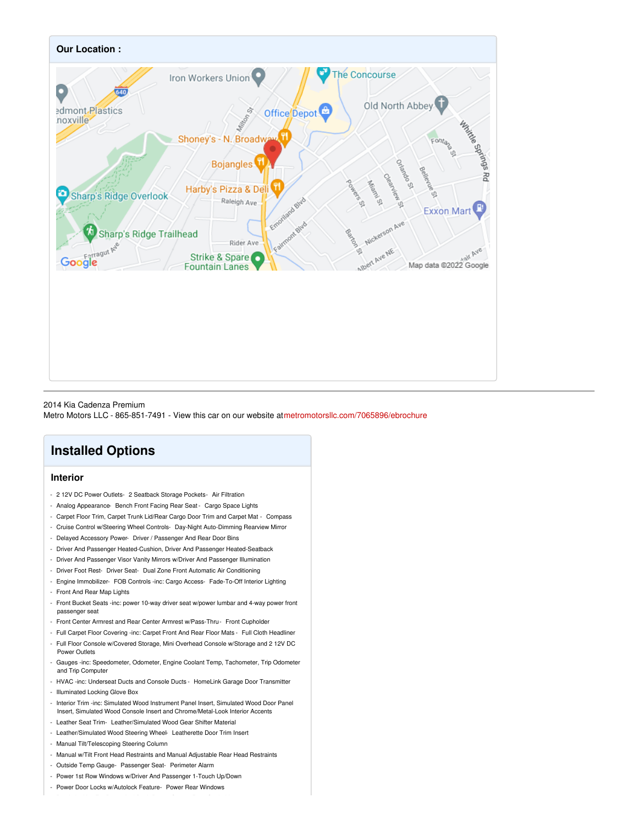

#### 2014 Kia Cadenza Premium

Metro Motors LLC - 865-851-7491 - View this car on our website at[metromotorsllc.com/7065896/ebrochure](https://metromotorsllc.com/vehicle/7065896/2014-kia-cadenza-premium-knoxville-tennessee-37917/7065896/ebrochure)

## **Installed Options**

#### **Interior**

- 2 12V DC Power Outlets- 2 Seatback Storage Pockets- Air Filtration
- Analog Appearance- Bench Front Facing Rear Seat Cargo Space Lights
- Carpet Floor Trim, Carpet Trunk Lid/Rear Cargo Door Trim and Carpet Mat Compass
- Cruise Control w/Steering Wheel Controls- Day-Night Auto-Dimming Rearview Mirror
- Delayed Accessory Power- Driver / Passenger And Rear Door Bins
- Driver And Passenger Heated-Cushion, Driver And Passenger Heated-Seatback
- Driver And Passenger Visor Vanity Mirrors w/Driver And Passenger Illumination
- Driver Foot Rest- Driver Seat- Dual Zone Front Automatic Air Conditioning
- Engine Immobilizer- FOB Controls -inc: Cargo Access- Fade-To-Off Interior Lighting
- Front And Rear Map Lights
- Front Bucket Seats -inc: power 10-way driver seat w/power lumbar and 4-way power front passenger seat
- Front Center Armrest and Rear Center Armrest w/Pass-Thru- Front Cupholder
- Full Carpet Floor Covering -inc: Carpet Front And Rear Floor Mats Full Cloth Headliner
- Full Floor Console w/Covered Storage, Mini Overhead Console w/Storage and 2 12V DC Power Outlets
- Gauges -inc: Speedometer, Odometer, Engine Coolant Temp, Tachometer, Trip Odometer and Trip Computer
- HVAC -inc: Underseat Ducts and Console Ducts HomeLink Garage Door Transmitter
- Illuminated Locking Glove Box
- Interior Trim -inc: Simulated Wood Instrument Panel Insert, Simulated Wood Door Panel Insert, Simulated Wood Console Insert and Chrome/Metal-Look Interior Accents
- Leather Seat Trim- Leather/Simulated Wood Gear Shifter Material
- Leather/Simulated Wood Steering Wheel- Leatherette Door Trim Insert
- Manual Tilt/Telescoping Steering Column
- Manual w/Tilt Front Head Restraints and Manual Adjustable Rear Head Restraints
- Outside Temp Gauge- Passenger Seat- Perimeter Alarm
- Power 1st Row Windows w/Driver And Passenger 1-Touch Up/Down
- Power Door Locks w/Autolock Feature- Power Rear Windows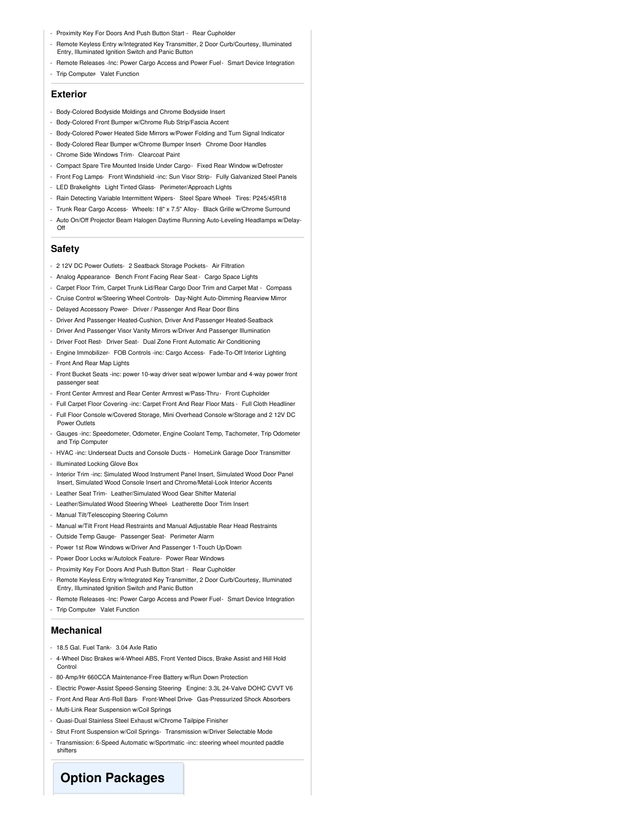- Proximity Key For Doors And Push Button Start Rear Cupholder
- Remote Keyless Entry w/Integrated Key Transmitter, 2 Door Curb/Courtesy, Illuminated Entry, Illuminated Ignition Switch and Panic Button
- Remote Releases -Inc: Power Cargo Access and Power Fuel- Smart Device Integration - Trip Computer- Valet Function

#### **Exterior**

- Body-Colored Bodyside Moldings and Chrome Bodyside Insert
- Body-Colored Front Bumper w/Chrome Rub Strip/Fascia Accent
- Body-Colored Power Heated Side Mirrors w/Power Folding and Turn Signal Indicator
- Body-Colored Rear Bumper w/Chrome Bumper Insert- Chrome Door Handles
- Chrome Side Windows Trim- Clearcoat Paint
- Compact Spare Tire Mounted Inside Under Cargo- Fixed Rear Window w/Defroster
- Front Fog Lamps- Front Windshield -inc: Sun Visor Strip- Fully Galvanized Steel Panels
- LED Brakelights- Light Tinted Glass- Perimeter/Approach Lights
- Rain Detecting Variable Intermittent Wipers- Steel Spare Wheel- Tires: P245/45R18
- Trunk Rear Cargo Access- Wheels: 18" x 7.5" Alloy- Black Grille w/Chrome Surround
- Auto On/Off Projector Beam Halogen Daytime Running Auto-Leveling Headlamps w/Delay-Off

#### **Safety**

- 2 12V DC Power Outlets- 2 Seatback Storage Pockets- Air Filtration
- Analog Appearance- Bench Front Facing Rear Seat Cargo Space Lights
- Carpet Floor Trim, Carpet Trunk Lid/Rear Cargo Door Trim and Carpet Mat Compass
- Cruise Control w/Steering Wheel Controls- Day-Night Auto-Dimming Rearview Mirror
- Delayed Accessory Power- Driver / Passenger And Rear Door Bins
- Driver And Passenger Heated-Cushion, Driver And Passenger Heated-Seatback
- Driver And Passenger Visor Vanity Mirrors w/Driver And Passenger Illumination
- Driver Foot Rest- Driver Seat- Dual Zone Front Automatic Air Conditioning
- Engine Immobilizer- FOB Controls -inc: Cargo Access- Fade-To-Off Interior Lighting
- Front And Rear Map Lights
- Front Bucket Seats -inc: power 10-way driver seat w/power lumbar and 4-way power front passenger seat
- Front Center Armrest and Rear Center Armrest w/Pass-Thru- Front Cupholder
- Full Carpet Floor Covering -inc: Carpet Front And Rear Floor Mats Full Cloth Headliner
- Full Floor Console w/Covered Storage, Mini Overhead Console w/Storage and 2 12V DC Power Outlets
- Gauges -inc: Speedometer, Odometer, Engine Coolant Temp, Tachometer, Trip Odometer and Trip Computer
- HVAC -inc: Underseat Ducts and Console Ducts HomeLink Garage Door Transmitter
- Illuminated Locking Glove Box
- Interior Trim -inc: Simulated Wood Instrument Panel Insert, Simulated Wood Door Panel Insert, Simulated Wood Console Insert and Chrome/Metal-Look Interior Accents
- Leather Seat Trim- Leather/Simulated Wood Gear Shifter Material
- Leather/Simulated Wood Steering Wheel- Leatherette Door Trim Insert
- Manual Tilt/Telescoping Steering Column
- Manual w/Tilt Front Head Restraints and Manual Adjustable Rear Head Restraints
- Outside Temp Gauge- Passenger Seat- Perimeter Alarm
- Power 1st Row Windows w/Driver And Passenger 1-Touch Up/Down
- Power Door Locks w/Autolock Feature- Power Rear Windows
- Proximity Key For Doors And Push Button Start Rear Cupholder
- Remote Keyless Entry w/Integrated Key Transmitter, 2 Door Curb/Courtesy, Illuminated Entry, Illuminated Ignition Switch and Panic Button
- Remote Releases -Inc: Power Cargo Access and Power Fuel- Smart Device Integration
- Trip Computer- Valet Function

#### **Mechanical**

- 18.5 Gal. Fuel Tank- 3.04 Axle Ratio
- 4-Wheel Disc Brakes w/4-Wheel ABS, Front Vented Discs, Brake Assist and Hill Hold Control
- 80-Amp/Hr 660CCA Maintenance-Free Battery w/Run Down Protection
- Electric Power-Assist Speed-Sensing Steering- Engine: 3.3L 24-Valve DOHC CVVT V6
- Front And Rear Anti-Roll Bars- Front-Wheel Drive- Gas-Pressurized Shock Absorbers
- Multi-Link Rear Suspension w/Coil Springs
- Quasi-Dual Stainless Steel Exhaust w/Chrome Tailpipe Finisher
- Strut Front Suspension w/Coil Springs- Transmission w/Driver Selectable Mode
- Transmission: 6-Speed Automatic w/Sportmatic -inc: steering wheel mounted paddle shifters

### **Option Packages**